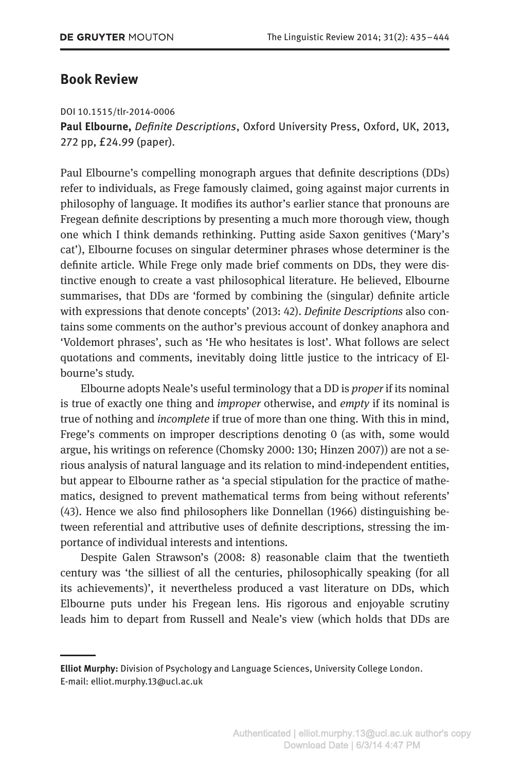## **Book Review**

## DOI 10.1515/tlr-2014-0006

**Paul Elbourne,** *Definite Descriptions*, Oxford University Press, Oxford, UK, 2013, 272 pp, £24.99 (paper).

Paul Elbourne's compelling monograph argues that definite descriptions (DDs) refer to individuals, as Frege famously claimed, going against major currents in philosophy of language. It modifies its author's earlier stance that pronouns are Fregean definite descriptions by presenting a much more thorough view, though one which I think demands rethinking. Putting aside Saxon genitives ('Mary's cat'), Elbourne focuses on singular determiner phrases whose determiner is the definite article. While Frege only made brief comments on DDs, they were distinctive enough to create a vast philosophical literature. He believed, Elbourne summarises, that DDs are 'formed by combining the (singular) definite article with expressions that denote concepts' (2013: 42). *Definite Descriptions* also contains some comments on the author's previous account of donkey anaphora and 'Voldemort phrases', such as 'He who hesitates is lost'. What follows are select quotations and comments, inevitably doing little justice to the intricacy of Elbourne's study.

Elbourne adopts Neale's useful terminology that a DD is *proper* if its nominal is true of exactly one thing and *improper* otherwise, and *empty* if its nominal is true of nothing and *incomplete* if true of more than one thing. With this in mind, Frege's comments on improper descriptions denoting 0 (as with, some would argue, his writings on reference (Chomsky 2000: 130; Hinzen 2007)) are not a serious analysis of natural language and its relation to mind-independent entities, but appear to Elbourne rather as 'a special stipulation for the practice of mathematics, designed to prevent mathematical terms from being without referents' (43). Hence we also find philosophers like Donnellan (1966) distinguishing between referential and attributive uses of definite descriptions, stressing the importance of individual interests and intentions.

Despite Galen Strawson's (2008: 8) reasonable claim that the twentieth century was 'the silliest of all the centuries, philosophically speaking (for all its achievements)', it nevertheless produced a vast literature on DDs, which Elbourne puts under his Fregean lens. His rigorous and enjoyable scrutiny leads him to depart from Russell and Neale's view (which holds that DDs are

**Elliot Murphy:** Division of Psychology and Language Sciences, University College London. E-mail: elliot.murphy.13@ucl.ac.uk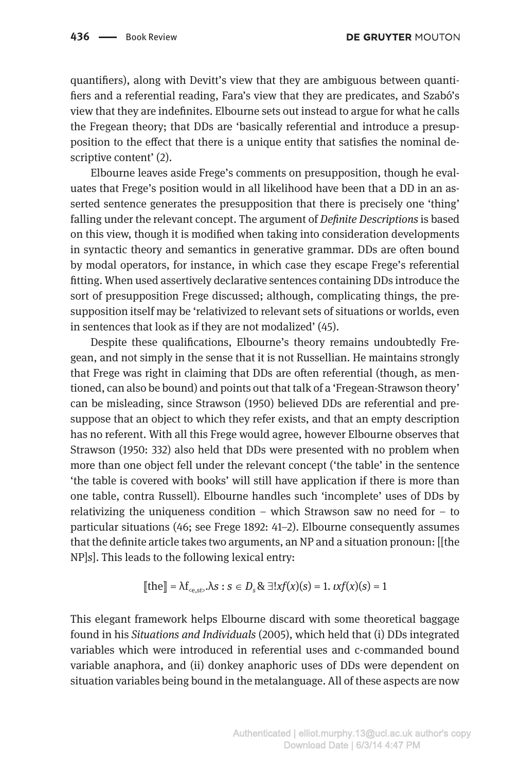quantifiers), along with Devitt's view that they are ambiguous between quantifiers and a referential reading, Fara's view that they are predicates, and Szabó's view that they are indefinites. Elbourne sets out instead to argue for what he calls the Fregean theory; that DDs are 'basically referential and introduce a presupposition to the effect that there is a unique entity that satisfies the nominal descriptive content' (2).

Elbourne leaves aside Frege's comments on presupposition, though he evaluates that Frege's position would in all likelihood have been that a DD in an asserted sentence generates the presupposition that there is precisely one 'thing' falling under the relevant concept. The argument of *Definite Descriptions* is based on this view, though it is modified when taking into consideration developments in syntactic theory and semantics in generative grammar. DDs are often bound by modal operators, for instance, in which case they escape Frege's referential fitting. When used assertively declarative sentences containing DDs introduce the sort of presupposition Frege discussed; although, complicating things, the presupposition itself may be 'relativized to relevant sets of situations or worlds, even in sentences that look as if they are not modalized' (45).

Despite these qualifications, Elbourne's theory remains undoubtedly Fregean, and not simply in the sense that it is not Russellian. He maintains strongly that Frege was right in claiming that DDs are often referential (though, as mentioned, can also be bound) and points out that talk of a 'Fregean-Strawson theory' can be misleading, since Strawson (1950) believed DDs are referential and presuppose that an object to which they refer exists, and that an empty description has no referent. With all this Frege would agree, however Elbourne observes that Strawson (1950: 332) also held that DDs were presented with no problem when more than one object fell under the relevant concept ('the table' in the sentence 'the table is covered with books' will still have application if there is more than one table, contra Russell). Elbourne handles such 'incomplete' uses of DDs by relativizing the uniqueness condition – which Strawson saw no need for – to particular situations (46; see Frege 1892: 41–2). Elbourne consequently assumes that the definite article takes two arguments, an NP and a situation pronoun: [[the NP]*s*]. This leads to the following lexical entry:

$$
\llbracket \text{the} \rrbracket = \lambda f_{\text{c}e,\text{st}}, \lambda s : s \in D_s \& \exists! x f(x)(s) = 1. \, \iota x f(x)(s) = 1
$$

This elegant framework helps Elbourne discard with some theoretical baggage found in his *Situations and Individuals* (2005), which held that (i) DDs integrated variables which were introduced in referential uses and c-commanded bound variable anaphora, and (ii) donkey anaphoric uses of DDs were dependent on situation variables being bound in the metalanguage. All of these aspects are now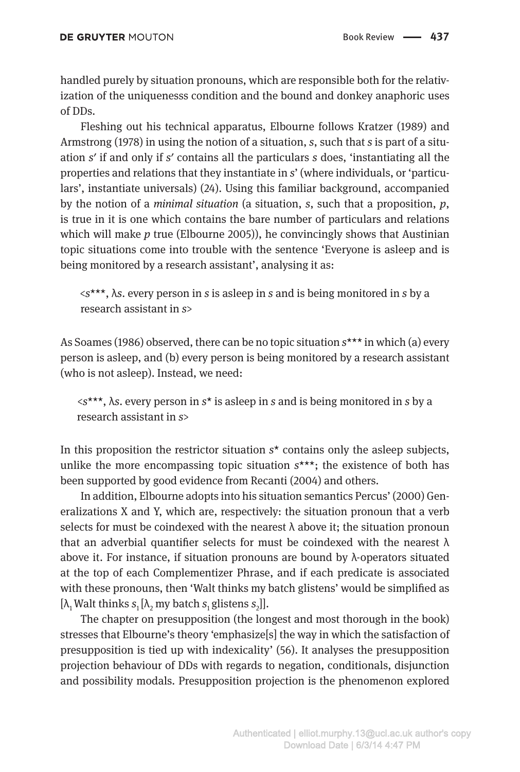handled purely by situation pronouns, which are responsible both for the relativization of the uniquenesss condition and the bound and donkey anaphoric uses of DDs.

Fleshing out his technical apparatus, Elbourne follows Kratzer (1989) and Armstrong (1978) in using the notion of a situation, *s*, such that *s* is part of a situation *s*′ if and only if *s*′ contains all the particulars *s* does, 'instantiating all the properties and relations that they instantiate in *s*' (where individuals, or 'particulars', instantiate universals) (24). Using this familiar background, accompanied by the notion of a *minimal situation* (a situation, *s*, such that a proposition, *p*, is true in it is one which contains the bare number of particulars and relations which will make *p* true (Elbourne 2005)), he convincingly shows that Austinian topic situations come into trouble with the sentence 'Everyone is asleep and is being monitored by a research assistant', analysing it as:

<*s*\*\*\*, λ*s*. every person in *s* is asleep in *s* and is being monitored in *s* by a research assistant in *s*>

As Soames (1986) observed, there can be no topic situation *s*\*\*\* in which (a) every person is asleep, and (b) every person is being monitored by a research assistant (who is not asleep). Instead, we need:

<*s*\*\*\*, λ*s*. every person in *s*\* is asleep in *s* and is being monitored in *s* by a research assistant in *s*>

In this proposition the restrictor situation *s*\* contains only the asleep subjects, unlike the more encompassing topic situation *s*\*\*\*; the existence of both has been supported by good evidence from Recanti (2004) and others.

In addition, Elbourne adopts into his situation semantics Percus' (2000) Generalizations X and Y, which are, respectively: the situation pronoun that a verb selects for must be coindexed with the nearest  $\lambda$  above it; the situation pronoun that an adverbial quantifier selects for must be coindexed with the nearest  $\lambda$ above it. For instance, if situation pronouns are bound by  $\lambda$ -operators situated at the top of each Complementizer Phrase, and if each predicate is associated with these pronouns, then 'Walt thinks my batch glistens' would be simplified as [λ, Walt thinks  $s_1$ [λ<sub>2</sub> my batch  $s_1$  glistens  $s_2$ ]].

The chapter on presupposition (the longest and most thorough in the book) stresses that Elbourne's theory 'emphasize[s] the way in which the satisfaction of presupposition is tied up with indexicality' (56). It analyses the presupposition projection behaviour of DDs with regards to negation, conditionals, disjunction and possibility modals. Presupposition projection is the phenomenon explored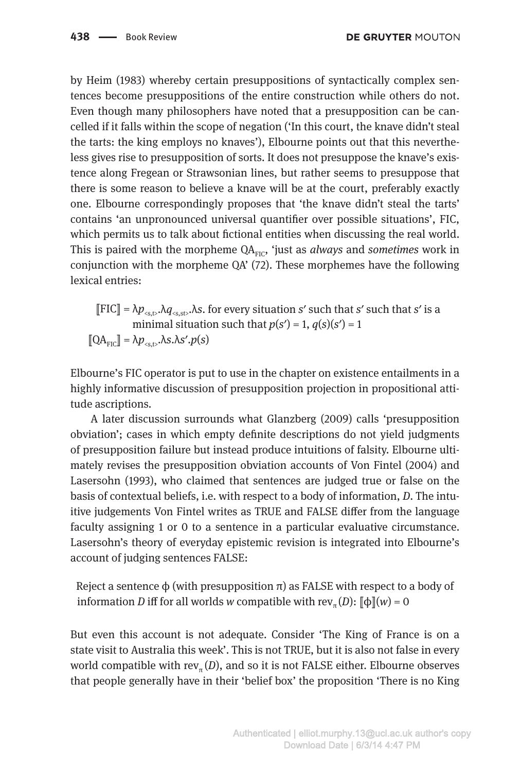by Heim (1983) whereby certain presuppositions of syntactically complex sentences become presuppositions of the entire construction while others do not. Even though many philosophers have noted that a presupposition can be cancelled if it falls within the scope of negation ('In this court, the knave didn't steal the tarts: the king employs no knaves'), Elbourne points out that this nevertheless gives rise to presupposition of sorts. It does not presuppose the knave's existence along Fregean or Strawsonian lines, but rather seems to presuppose that there is some reason to believe a knave will be at the court, preferably exactly one. Elbourne correspondingly proposes that 'the knave didn't steal the tarts' contains 'an unpronounced universal quantifier over possible situations', FIC, which permits us to talk about fictional entities when discussing the real world. This is paired with the morpheme QA<sub>FIC</sub>, 'just as *always* and *sometimes* work in conjunction with the morpheme QA' (72). These morphemes have the following lexical entries:

 $\llbracket$  FIC $\rrbracket = \lambda p_{\text{ss},t}, \lambda q_{\text{ss},t},\lambda s$ . for every situation *s'* such that *s'* such that *s'* is a minimal situation such that  $p(s') = 1$ ,  $q(s)(s') = 1$  $[QA_{\text{FIC}}] = \lambda p_{\text{cst}} \lambda s \cdot \lambda s' \cdot p(s)$ 

Elbourne's FIC operator is put to use in the chapter on existence entailments in a highly informative discussion of presupposition projection in propositional attitude ascriptions.

A later discussion surrounds what Glanzberg (2009) calls 'presupposition obviation'; cases in which empty definite descriptions do not yield judgments of presupposition failure but instead produce intuitions of falsity. Elbourne ultimately revises the presupposition obviation accounts of Von Fintel (2004) and Lasersohn (1993), who claimed that sentences are judged true or false on the basis of contextual beliefs, i.e. with respect to a body of information, *D*. The intuitive judgements Von Fintel writes as TRUE and FALSE differ from the language faculty assigning 1 or 0 to a sentence in a particular evaluative circumstance. Lasersohn's theory of everyday epistemic revision is integrated into Elbourne's account of judging sentences FALSE:

Reject a sentence  $\varphi$  (with presupposition π) as FALSE with respect to a body of information *D* iff for all worlds *w* compatible with rev<sub>π</sub> (*D*):  $\phi(x) = 0$ 

But even this account is not adequate. Consider 'The King of France is on a state visit to Australia this week'. This is not TRUE, but it is also not false in every world compatible with rev<sub> $\pi$ </sub> $(D)$ , and so it is not FALSE either. Elbourne observes that people generally have in their 'belief box' the proposition 'There is no King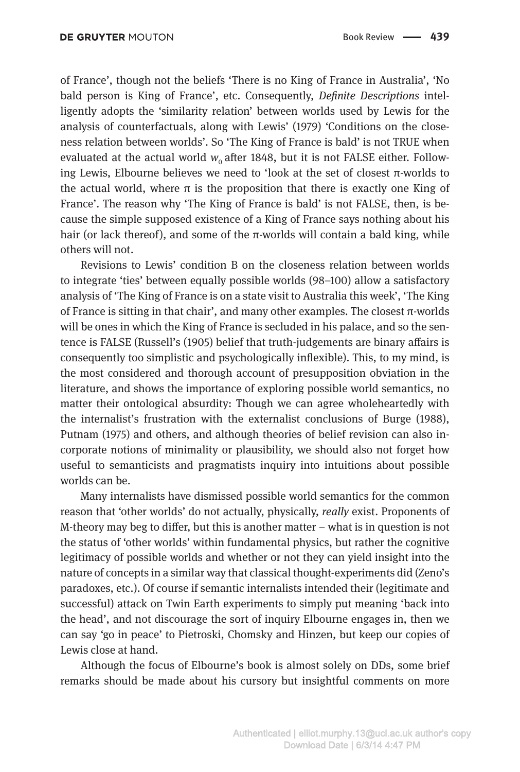of France', though not the beliefs 'There is no King of France in Australia', 'No bald person is King of France', etc. Consequently, *Definite Descriptions* intelligently adopts the 'similarity relation' between worlds used by Lewis for the analysis of counterfactuals, along with Lewis' (1979) 'Conditions on the closeness relation between worlds'. So 'The King of France is bald' is not TRUE when evaluated at the actual world  $w_0$  after 1848, but it is not FALSE either. Following Lewis, Elbourne believes we need to 'look at the set of closest π-worlds to the actual world, where  $\pi$  is the proposition that there is exactly one King of France'. The reason why 'The King of France is bald' is not FALSE, then, is because the simple supposed existence of a King of France says nothing about his hair (or lack thereof), and some of the  $\pi$ -worlds will contain a bald king, while others will not.

Revisions to Lewis' condition B on the closeness relation between worlds to integrate 'ties' between equally possible worlds (98–100) allow a satisfactory analysis of 'The King of France is on a state visit to Australia this week', 'The King of France is sitting in that chair', and many other examples. The closest  $\pi$ -worlds will be ones in which the King of France is secluded in his palace, and so the sentence is FALSE (Russell's (1905) belief that truth-judgements are binary affairs is consequently too simplistic and psychologically inflexible). This, to my mind, is the most considered and thorough account of presupposition obviation in the literature, and shows the importance of exploring possible world semantics, no matter their ontological absurdity: Though we can agree wholeheartedly with the internalist's frustration with the externalist conclusions of Burge (1988), Putnam (1975) and others, and although theories of belief revision can also incorporate notions of minimality or plausibility, we should also not forget how useful to semanticists and pragmatists inquiry into intuitions about possible worlds can be.

Many internalists have dismissed possible world semantics for the common reason that 'other worlds' do not actually, physically, *really* exist. Proponents of M-theory may beg to differ, but this is another matter – what is in question is not the status of 'other worlds' within fundamental physics, but rather the cognitive legitimacy of possible worlds and whether or not they can yield insight into the nature of concepts in a similar way that classical thought-experiments did (Zeno's paradoxes, etc.). Of course if semantic internalists intended their (legitimate and successful) attack on Twin Earth experiments to simply put meaning 'back into the head', and not discourage the sort of inquiry Elbourne engages in, then we can say 'go in peace' to Pietroski, Chomsky and Hinzen, but keep our copies of Lewis close at hand.

Although the focus of Elbourne's book is almost solely on DDs, some brief remarks should be made about his cursory but insightful comments on more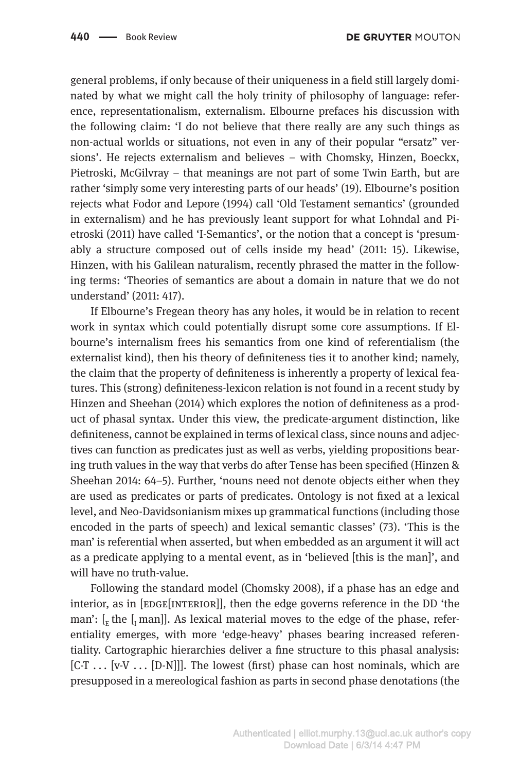general problems, if only because of their uniqueness in a field still largely dominated by what we might call the holy trinity of philosophy of language: reference, representationalism, externalism. Elbourne prefaces his discussion with the following claim: 'I do not believe that there really are any such things as non-actual worlds or situations, not even in any of their popular "ersatz" versions'. He rejects externalism and believes – with Chomsky, Hinzen, Boeckx, Pietroski, McGilvray – that meanings are not part of some Twin Earth, but are rather 'simply some very interesting parts of our heads' (19). Elbourne's position rejects what Fodor and Lepore (1994) call 'Old Testament semantics' (grounded in externalism) and he has previously leant support for what Lohndal and Pietroski (2011) have called 'I-Semantics', or the notion that a concept is 'presumably a structure composed out of cells inside my head' (2011: 15). Likewise, Hinzen, with his Galilean naturalism, recently phrased the matter in the following terms: 'Theories of semantics are about a domain in nature that we do not understand' (2011: 417).

If Elbourne's Fregean theory has any holes, it would be in relation to recent work in syntax which could potentially disrupt some core assumptions. If Elbourne's internalism frees his semantics from one kind of referentialism (the externalist kind), then his theory of definiteness ties it to another kind; namely, the claim that the property of definiteness is inherently a property of lexical features. This (strong) definiteness-lexicon relation is not found in a recent study by Hinzen and Sheehan (2014) which explores the notion of definiteness as a product of phasal syntax. Under this view, the predicate-argument distinction, like definiteness, cannot be explained in terms of lexical class, since nouns and adjectives can function as predicates just as well as verbs, yielding propositions bearing truth values in the way that verbs do after Tense has been specified (Hinzen & Sheehan 2014: 64–5). Further, 'nouns need not denote objects either when they are used as predicates or parts of predicates. Ontology is not fixed at a lexical level, and Neo-Davidsonianism mixes up grammatical functions (including those encoded in the parts of speech) and lexical semantic classes' (73). 'This is the man' is referential when asserted, but when embedded as an argument it will act as a predicate applying to a mental event, as in 'believed [this is the man]', and will have no truth-value.

Following the standard model (Chomsky 2008), if a phase has an edge and interior, as in  $[EDGE[INTERIOR]]$ , then the edge governs reference in the DD 'the man':  $\left[\right]_E$  the  $\left[\right]_I$  man]]. As lexical material moves to the edge of the phase, referentiality emerges, with more 'edge-heavy' phases bearing increased referentiality. Cartographic hierarchies deliver a fine structure to this phasal analysis:  $[C-T] \ldots [v-V] \ldots [D-N]]$ . The lowest (first) phase can host nominals, which are presupposed in a mereological fashion as parts in second phase denotations (the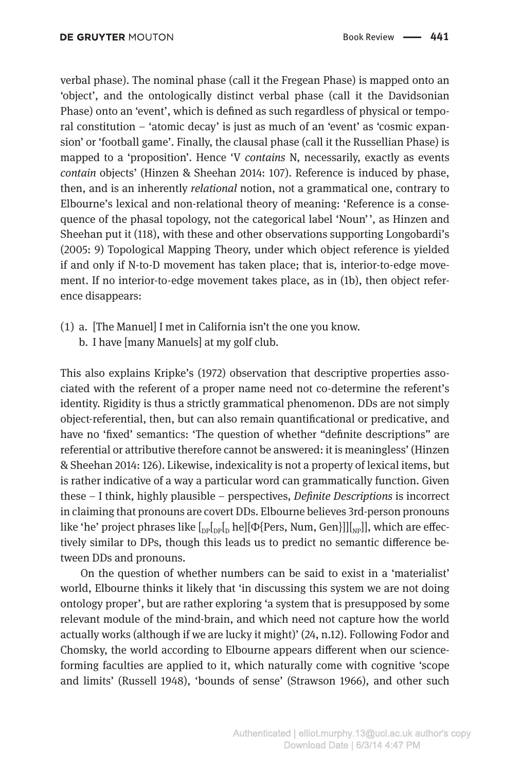verbal phase). The nominal phase (call it the Fregean Phase) is mapped onto an 'object', and the ontologically distinct verbal phase (call it the Davidsonian Phase) onto an 'event', which is defined as such regardless of physical or temporal constitution – 'atomic decay' is just as much of an 'event' as 'cosmic expansion' or 'football game'. Finally, the clausal phase (call it the Russellian Phase) is mapped to a 'proposition'. Hence 'V *contains* N, necessarily, exactly as events *contain* objects' (Hinzen & Sheehan 2014: 107). Reference is induced by phase, then, and is an inherently *relational* notion, not a grammatical one, contrary to Elbourne's lexical and non-relational theory of meaning: 'Reference is a consequence of the phasal topology, not the categorical label 'Noun' ', as Hinzen and Sheehan put it (118), with these and other observations supporting Longobardi's (2005: 9) Topological Mapping Theory, under which object reference is yielded if and only if N-to-D movement has taken place; that is, interior-to-edge movement. If no interior-to-edge movement takes place, as in (1b), then object reference disappears:

- (1) a. [The Manuel] I met in California isn't the one you know.
	- b. I have [many Manuels] at my golf club.

This also explains Kripke's (1972) observation that descriptive properties associated with the referent of a proper name need not co-determine the referent's identity. Rigidity is thus a strictly grammatical phenomenon. DDs are not simply object-referential, then, but can also remain quantificational or predicative, and have no 'fixed' semantics: 'The question of whether "definite descriptions" are referential or attributive therefore cannot be answered: it is meaningless' (Hinzen & Sheehan 2014: 126). Likewise, indexicality is not a property of lexical items, but is rather indicative of a way a particular word can grammatically function. Given these – I think, highly plausible – perspectives, *Definite Descriptions* is incorrect in claiming that pronouns are covert DDs. Elbourne believes 3rd-person pronouns like 'he' project phrases like  $\left[\int_{\text{DP}}\left[\int_{\text{DP}}\right] p\{ \text{Pers}, \text{Num}, \text{Gen} \}]\right] \left[\int_{\text{NP}}\right]$ , which are effectively similar to DPs, though this leads us to predict no semantic difference between DDs and pronouns.

On the question of whether numbers can be said to exist in a 'materialist' world, Elbourne thinks it likely that 'in discussing this system we are not doing ontology proper', but are rather exploring 'a system that is presupposed by some relevant module of the mind-brain, and which need not capture how the world actually works (although if we are lucky it might)' (24, n.12). Following Fodor and Chomsky, the world according to Elbourne appears different when our science-forming faculties are applied to it, which naturally come with cognitive 'scope and limits' (Russell 1948), 'bounds of sense' (Strawson 1966), and other such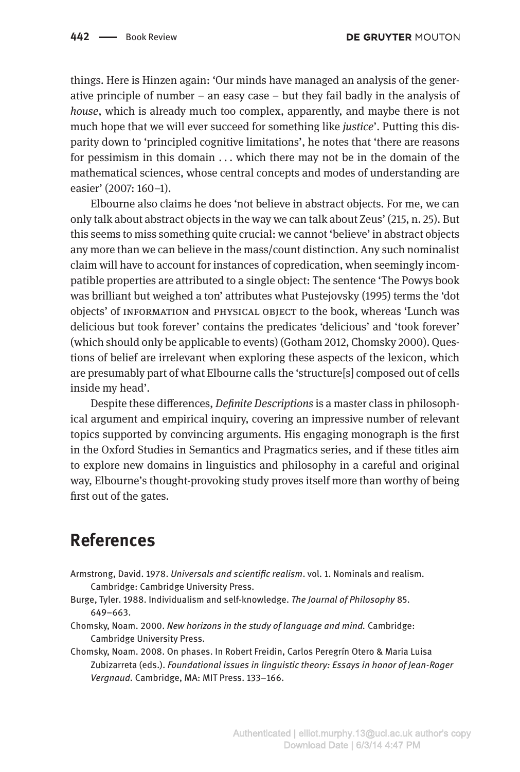things. Here is Hinzen again: 'Our minds have managed an analysis of the generative principle of number – an easy case – but they fail badly in the analysis of *house*, which is already much too complex, apparently, and maybe there is not much hope that we will ever succeed for something like *justice*'. Putting this disparity down to 'principled cognitive limitations', he notes that 'there are reasons for pessimism in this domain  $\dots$  which there may not be in the domain of the mathematical sciences, whose central concepts and modes of understanding are easier' (2007: 160–1).

Elbourne also claims he does 'not believe in abstract objects. For me, we can only talk about abstract objects in the way we can talk about Zeus' (215, n. 25). But this seems to miss something quite crucial: we cannot 'believe' in abstract objects any more than we can believe in the mass/count distinction. Any such nominalist claim will have to account for instances of copredication, when seemingly incompatible properties are attributed to a single object: The sentence 'The Powys book was brilliant but weighed a ton' attributes what Pustejovsky (1995) terms the 'dot objects' of information and physical object to the book, whereas 'Lunch was delicious but took forever' contains the predicates 'delicious' and 'took forever' (which should only be applicable to events) (Gotham 2012, Chomsky 2000). Questions of belief are irrelevant when exploring these aspects of the lexicon, which are presumably part of what Elbourne calls the 'structure[s] composed out of cells inside my head'.

Despite these differences, *Definite Descriptions* is a master class in philosophical argument and empirical inquiry, covering an impressive number of relevant topics supported by convincing arguments. His engaging monograph is the first in the Oxford Studies in Semantics and Pragmatics series, and if these titles aim to explore new domains in linguistics and philosophy in a careful and original way, Elbourne's thought-provoking study proves itself more than worthy of being first out of the gates.

## **References**

- Armstrong, David. 1978. *Universals and scientific realism*. vol. 1. Nominals and realism. Cambridge: Cambridge University Press.
- Burge, Tyler. 1988. Individualism and self-knowledge. *The Journal of Philosophy* 85. 649–663.
- Chomsky, Noam. 2000. *New horizons in the study of language and mind.* Cambridge: Cambridge University Press.
- Chomsky, Noam. 2008. On phases. In Robert Freidin, Carlos Peregrín Otero & Maria Luisa Zubizarreta (eds.). *Foundational issues in linguistic theory: Essays in honor of Jean-Roger Vergnaud.* Cambridge, MA: MIT Press. 133–166.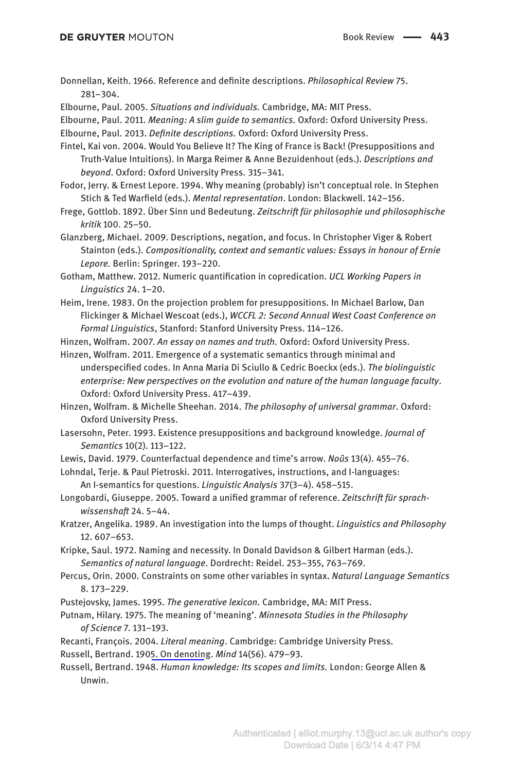Donnellan, Keith. 1966. Reference and definite descriptions. *Philosophical Review* 75. 281–304.

Elbourne, Paul. 2005. *Situations and individuals.* Cambridge, MA: MIT Press.

Elbourne, Paul. 2011. *Meaning: A slim guide to semantics.* Oxford: Oxford University Press.

Elbourne, Paul. 2013. *Definite descriptions.* Oxford: Oxford University Press.

Fintel, Kai von. 2004. Would You Believe It? The King of France is Back! (Presuppositions and Truth-Value Intuitions). In Marga Reimer & Anne Bezuidenhout (eds.). *Descriptions and beyond*. Oxford: Oxford University Press. 315–341.

Fodor, Jerry. & Ernest Lepore. 1994. Why meaning (probably) isn't conceptual role. In Stephen Stich & Ted Warfield (eds.). *Mental representation*. London: Blackwell. 142–156.

Frege, Gottlob. 1892. Über Sinn und Bedeutung. *Zeitschrift für philosophie und philosophische kritik* 100. 25–50.

Glanzberg, Michael. 2009. Descriptions, negation, and focus. In Christopher Viger & Robert Stainton (eds.). *Compositionality, context and semantic values: Essays in honour of Ernie Lepore.* Berlin: Springer. 193–220.

Gotham, Matthew. 2012. Numeric quantification in copredication. *UCL Working Papers in Linguistics* 24. 1–20.

Heim, Irene. 1983. On the projection problem for presuppositions. In Michael Barlow, Dan Flickinger & Michael Wescoat (eds.), *WCCFL 2: Second Annual West Coast Conference on Formal Linguistics*, Stanford: Stanford University Press. 114–126.

Hinzen, Wolfram. 2007. *An essay on names and truth.* Oxford: Oxford University Press.

Hinzen, Wolfram. 2011. Emergence of a systematic semantics through minimal and underspecified codes. In Anna Maria Di Sciullo & Cedric Boeckx (eds.). *The biolinguistic enterprise: New perspectives on the evolution and nature of the human language faculty*. Oxford: Oxford University Press. 417–439.

Hinzen, Wolfram. & Michelle Sheehan. 2014. *The philosophy of universal grammar*. Oxford: Oxford University Press.

Lasersohn, Peter. 1993. Existence presuppositions and background knowledge. *Journal of Semantics* 10(2). 113–122.

Lewis, David. 1979. Counterfactual dependence and time's arrow. *Noûs* 13(4). 455–76.

Lohndal, Terje. & Paul Pietroski. 2011. Interrogatives, instructions, and I-languages: An I-semantics for questions. *Linguistic Analysis* 37(3–4). 458–515.

Longobardi, Giuseppe. 2005. Toward a unified grammar of reference. *Zeitschrift für sprachwissenshaft* 24. 5–44.

Kratzer, Angelika. 1989. An investigation into the lumps of thought. *Linguistics and Philosophy* 12. 607–653.

Kripke, Saul. 1972. Naming and necessity. In Donald Davidson & Gilbert Harman (eds.). *Semantics of natural language*. Dordrecht: Reidel. 253–355, 763–769.

Percus, Orin. 2000. Constraints on some other variables in syntax. *Natural Language Semantics* 8. 173–229.

Pustejovsky, James. 1995. *The generative lexicon.* Cambridge, MA: MIT Press.

Putnam, Hilary. 1975. The meaning of 'meaning'. *Minnesota Studies in the Philosophy of Science* 7. 131–193.

Recanti, François. 2004. *Literal meaning*. Cambridge: Cambridge University Press.

Russell, Bertrand. 1905. On denoting. *Mind* 14(56). 479–93.

Russell, Bertrand. 1948. *Human knowledge: Its scopes and limits.* London: George Allen & Unwin.